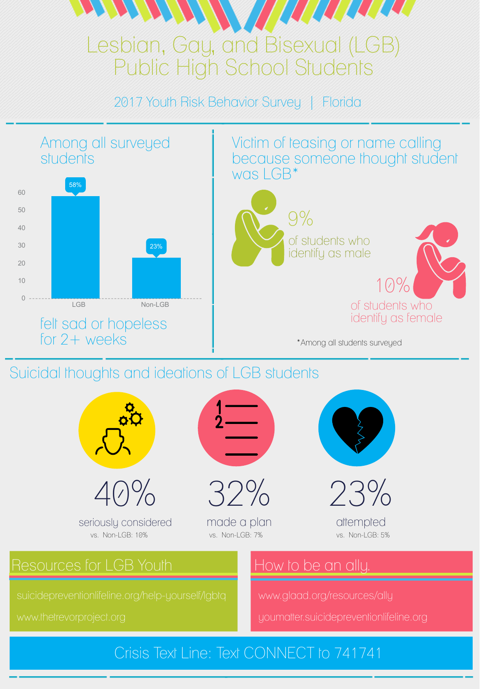# Lesbian, Gay, and Bisexual (LGB) Public High School Students

2017 Youth Risk Behavior Survey | Florida

58%

40

50

60

Suicidal thoughts and ideations of LGB students



suicidepreventionlifeline.org/help-yourself/lgbtq

www.thetrevorproject.org

# Resources for LGB Youth

www.glaad.org/resources/ally

youmatter.suicidepreventionlifeline.org

# How to be an ally.



Victim of teasing or name calling because someone thought student was LGB\*





identify as male 10% of students who identify as female

\*Among all students surveyed





made a plan



attempted

seriously considered vs. Non-LGB: 10% vs. Non-LGB: 7% vs. Non-LGB: 5%

#### Among all surveyed students

### Crisis Text Line: Text CONNECT to 741741